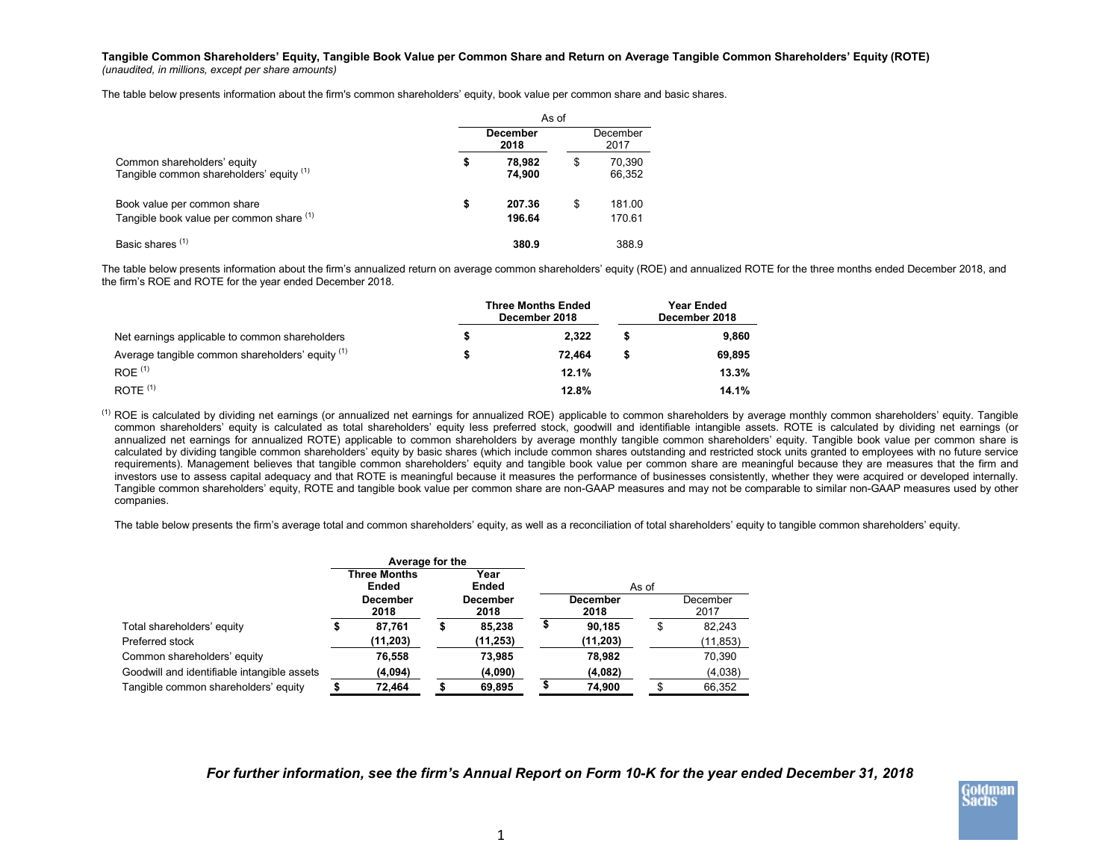**Tangible Common Shareholders' Equity, Tangible Book Value per Common Share and Return on Average Tangible Common Shareholders' Equity (ROTE)** *(unaudited, in millions, except per share amounts)*

The table below presents information about the firm's common shareholders' equity, book value per common share and basic shares.

|                                                                         | As of |                  |    |                  |  |  |  |  |  |  |
|-------------------------------------------------------------------------|-------|------------------|----|------------------|--|--|--|--|--|--|
|                                                                         |       | December<br>2018 |    | December<br>2017 |  |  |  |  |  |  |
| Common shareholders' equity<br>Tangible common shareholders' equity (1) | \$    | 78.982<br>74.900 | \$ | 70.390<br>66,352 |  |  |  |  |  |  |
| Book value per common share<br>Tangible book value per common share (1) | \$    | 207.36<br>196.64 | \$ | 181.00<br>170.61 |  |  |  |  |  |  |
| Basic shares <sup>(1)</sup>                                             |       | 380.9            |    | 388.9            |  |  |  |  |  |  |

The table below presents information about the firm's annualized return on average common shareholders' equity (ROE) and annualized ROTE for the three months ended December 2018, and the firm's ROE and ROTE for the year ended December 2018.

|                                                  | <b>Three Months Ended</b><br>December 2018 | Year Ended<br>December 2018 |        |  |  |  |
|--------------------------------------------------|--------------------------------------------|-----------------------------|--------|--|--|--|
| Net earnings applicable to common shareholders   | 2.322                                      |                             | 9.860  |  |  |  |
| Average tangible common shareholders' equity (1) | 72.464                                     | S                           | 69.895 |  |  |  |
| $ROE$ <sup>(1)</sup>                             | 12.1%                                      |                             | 13.3%  |  |  |  |
| ROTE $(1)$                                       | 12.8%                                      |                             | 14.1%  |  |  |  |

<sup>(1)</sup> ROE is calculated by dividing net earnings (or annualized net earnings for annualized ROE) applicable to common shareholders by average monthly common shareholders' equity. Tangible common shareholders' equity is calculated as total shareholders' equity less preferred stock, goodwill and identifiable intangible assets. ROTE is calculated by dividing net earnings (or annualized net earnings for annualized ROTE) applicable to common shareholders by average monthly tangible common shareholders' equity. Tangible book value per common share is calculated by dividing tangible common shareholders' equity by basic shares (which include common shares outstanding and restricted stock units granted to employees with no future service requirements). Management believes that tangible common shareholders' equity and tangible book value per common share are meaningful because they are measures that the firm and investors use to assess capital adequacy and that ROTE is meaningful because it measures the performance of businesses consistently, whether they were acquired or developed internally. Tangible common shareholders' equity, ROTE and tangible book value per common share are non-GAAP measures and may not be comparable to similar non-GAAP measures used by other companies.

The table below presents the firm's average total and common shareholders' equity, as well as a reconciliation of total shareholders' equity to tangible common shareholders' equity.

|                                             | Average for the              |                         |               |                  |       |                  |
|---------------------------------------------|------------------------------|-------------------------|---------------|------------------|-------|------------------|
|                                             | <b>Three Months</b><br>Ended |                         | Year<br>Ended |                  | As of |                  |
|                                             | <b>December</b><br>2018      | <b>December</b><br>2018 |               | December<br>2018 |       | December<br>2017 |
| Total shareholders' equity                  | 87.761                       | ъ                       | 85.238        | 90.185           | \$    | 82.243           |
| Preferred stock                             | (11, 203)                    |                         | (11, 253)     | (11, 203)        |       | (11, 853)        |
| Common shareholders' equity                 | 76,558                       |                         | 73.985        | 78.982           |       | 70,390           |
| Goodwill and identifiable intangible assets | (4,094)                      |                         | (4,090)       | (4,082)          |       | (4,038)          |
| Tangible common shareholders' equity        | 72,464                       |                         | 69,895        | 74,900           |       | 66.352           |

*For further information, see the firm's Annual Report on Form 10-K for the year ended December 31, 2018*

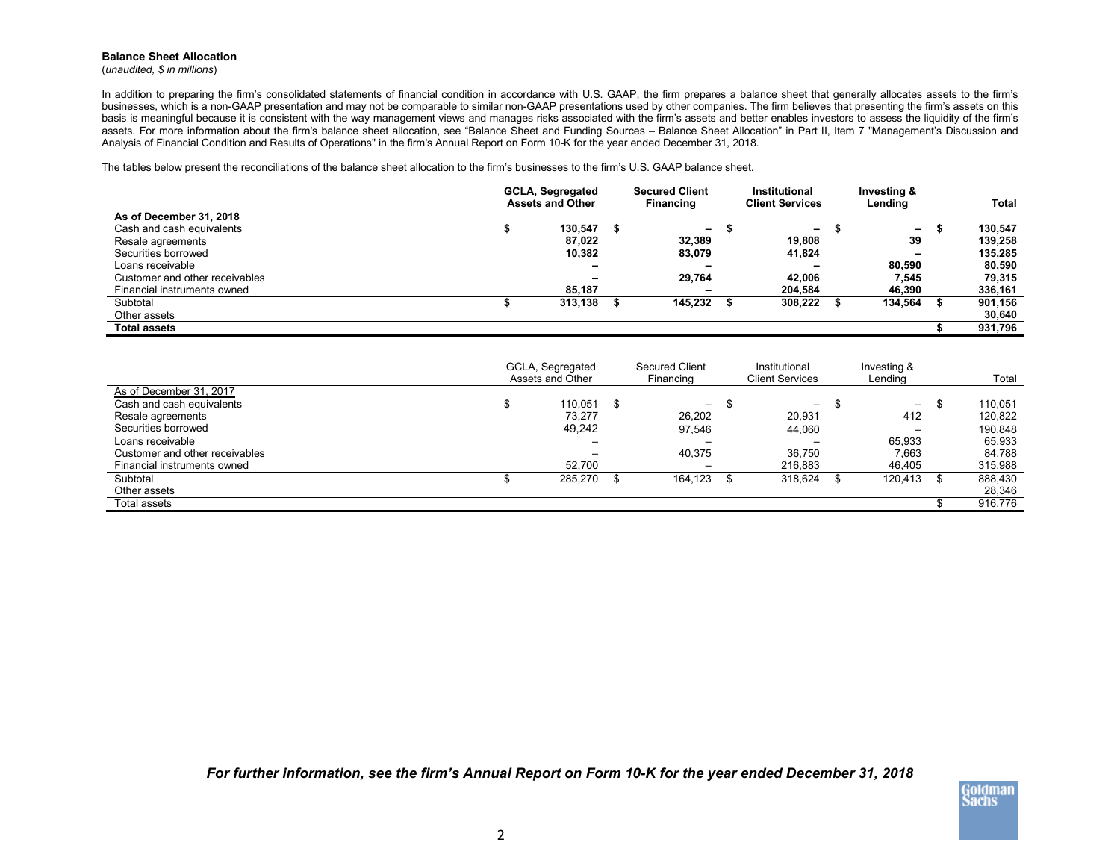## **Balance Sheet Allocation**

(*unaudited, \$ in millions*)

In addition to preparing the firm's consolidated statements of financial condition in accordance with U.S. GAAP, the firm prepares a balance sheet that generally allocates assets to the firm's businesses, which is a non-GAAP presentation and may not be comparable to similar non-GAAP presentations used by other companies. The firm believes that presenting the firm's assets on this basis is meaningful because it is consistent with the way management views and manages risks associated with the firm's assets and better enables investors to assess the liquidity of the firm's assets. For more information about the firm's balance sheet allocation, see "Balance Sheet and Funding Sources – Balance Sheet Allocation" in Part II, Item 7 "Management's Discussion and Analysis of Financial Condition and Results of Operations" in the firm's Annual Report on Form 10-K for the year ended December 31, 2018.

The tables below present the reconciliations of the balance sheet allocation to the firm's businesses to the firm's U.S. GAAP balance sheet.

|                                | <b>GCLA, Segregated</b><br><b>Assets and Other</b> | <b>Secured Client</b><br><b>Financing</b> | Institutional<br><b>Client Services</b> | Investing &<br>Lending   | <b>Total</b> |
|--------------------------------|----------------------------------------------------|-------------------------------------------|-----------------------------------------|--------------------------|--------------|
| As of December 31, 2018        |                                                    |                                           |                                         |                          |              |
| Cash and cash equivalents      | 130.547                                            | $\blacksquare$                            | ۰.                                      | $\sim$                   | 130.547      |
| Resale agreements              | 87.022                                             | 32.389                                    | 19.808                                  | 39                       | 139.258      |
| Securities borrowed            | 10,382                                             | 83.079                                    | 41,824                                  | $\overline{\phantom{a}}$ | 135.285      |
| Loans receivable               |                                                    | -                                         |                                         | 80.590                   | 80,590       |
| Customer and other receivables |                                                    | 29.764                                    | 42.006                                  | 7,545                    | 79,315       |
| Financial instruments owned    | 85.187                                             | -                                         | 204.584                                 | 46.390                   | 336,161      |
| Subtotal                       | 313,138                                            | 145.232                                   | 308,222                                 | 134.564                  | 901,156      |
| Other assets                   |                                                    |                                           |                                         |                          | 30,640       |
| Total assets                   |                                                    |                                           |                                         |                          | 931,796      |

|                                | GCLA, Segregated<br>Assets and Other | <b>Secured Client</b><br>Financing |   | Institutional<br>Client Services | Investing &<br>Lending   | Total   |
|--------------------------------|--------------------------------------|------------------------------------|---|----------------------------------|--------------------------|---------|
| As of December 31, 2017        |                                      |                                    |   |                                  |                          |         |
| Cash and cash equivalents      | 110.051                              | -                                  | S | $-$                              | $\overline{\phantom{0}}$ | 110.051 |
| Resale agreements              | 73.277                               | 26.202                             |   | 20.931                           | 412                      | 120.822 |
| Securities borrowed            | 49,242                               | 97.546                             |   | 44.060                           | -                        | 190.848 |
| Loans receivable               |                                      |                                    |   |                                  | 65.933                   | 65.933  |
| Customer and other receivables |                                      | 40.375                             |   | 36.750                           | 7.663                    | 84.788  |
| Financial instruments owned    | 52.700                               | -                                  |   | 216.883                          | 46.405                   | 315,988 |
| Subtotal                       | 285,270                              | 164.123 \$                         |   | 318,624                          | 120.413                  | 888,430 |
| Other assets                   |                                      |                                    |   |                                  |                          | 28,346  |
| Total assets                   |                                      |                                    |   |                                  |                          | 916,776 |

*For further information, see the firm's Annual Report on Form 10-K for the year ended December 31, 2018*